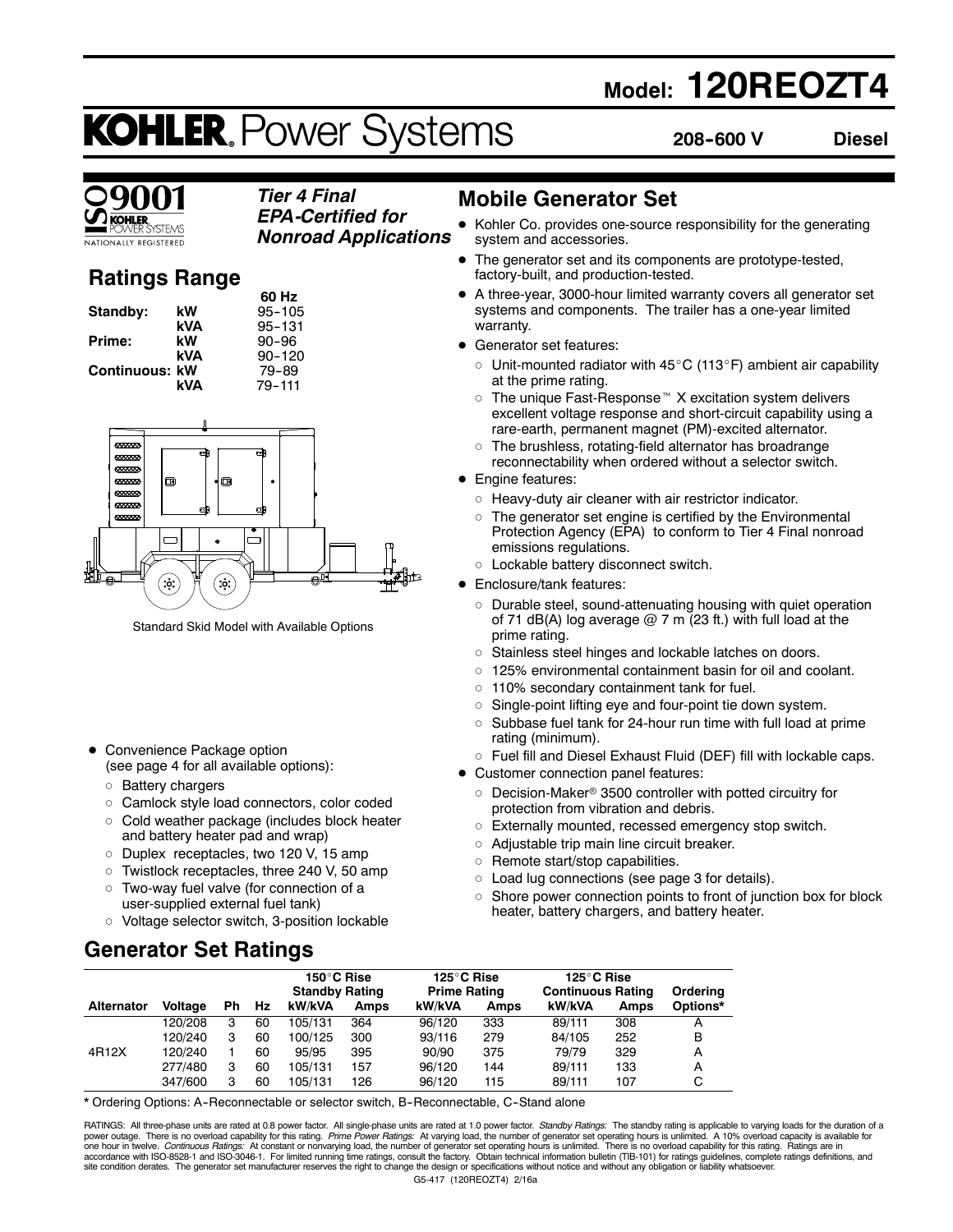# **Model: 120REOZT4**

# **KOHLER. Power Systems**

**208--600 V Diesel**

## *Tier 4 Final EPA-Certified for*

*Nonroad Applications*

**TIONALLY REGISTERED** 

# **Ratings Range**

|                       | 60 Hz      |
|-----------------------|------------|
| kW                    | $95 - 105$ |
| kVA                   | $95 - 131$ |
| kW                    | $90 - 96$  |
| kVA                   | $90 - 120$ |
| <b>Continuous: kW</b> | 79-89      |
| kVA                   | 79-111     |
|                       |            |



Standard Skid Model with Available Options

- Convenience Package option (see page 4 for all available options):
	- o Battery chargers
	- o Camlock style load connectors, color coded
	- $\circ$  Cold weather package (includes block heater and battery heater pad and wrap)
	- o Duplex receptacles, two 120 V, 15 amp
	- $\circ$  Twistlock receptacles, three 240 V, 50 amp
	- o Two-way fuel valve (for connection of a user-supplied external fuel tank)
	- o Voltage selector switch, 3-position lockable

# **Generator Set Ratings**

# **Mobile Generator Set**

- Kohler Co. provides one-source responsibility for the generating system and accessories.
- The generator set and its components are prototype-tested, factory-built, and production-tested.
- A three-year, 3000-hour limited warranty covers all generator set systems and components. The trailer has a one-year limited warranty.
- Generator set features:
	- $\circ$  Unit-mounted radiator with 45 $\rm{^{\circ}C}$  (113 $\rm{^{\circ}F}$ ) ambient air capability at the prime rating.
	- $\circ$  The unique Fast-Response<sup> $M$ </sup> X excitation system delivers excellent voltage response and short-circuit capability using a rare-earth, permanent magnet (PM)-excited alternator.
	- $\circ$  The brushless, rotating-field alternator has broadrange reconnectability when ordered without a selector switch.
- Engine features:
	- $\circ$  Heavy-duty air cleaner with air restrictor indicator.
	- $\circ$  The generator set engine is certified by the Environmental Protection Agency (EPA) to conform to Tier 4 Final nonroad emissions regulations.
- o Lockable battery disconnect switch.
- Enclosure/tank features:
	- $\circ$  Durable steel, sound-attenuating housing with quiet operation of 71 dB(A) log average  $@$  7 m (23 ft.) with full load at the prime rating.
	- o Stainless steel hinges and lockable latches on doors.
	- $\circ$  125% environmental containment basin for oil and coolant.
	- $\circ$  110% secondary containment tank for fuel.
	- $\circ$  Single-point lifting eye and four-point tie down system.
	- $\circ$  Subbase fuel tank for 24-hour run time with full load at prime rating (minimum).
	- o Fuel fill and Diesel Exhaust Fluid (DEF) fill with lockable caps.
- Customer connection panel features:
	- $\circ$  Decision-Maker® 3500 controller with potted circuitry for protection from vibration and debris.
	- o Externally mounted, recessed emergency stop switch.
	- $\circ$  Adjustable trip main line circuit breaker.
	- $\circ$  Remote start/stop capabilities.
	- $\circ$  Load lug connections (see page 3 for details).
	- $\circ$  Shore power connection points to front of junction box for block heater, battery chargers, and battery heater.

|                   |                |    |     | 150°C Rise<br><b>Standby Rating</b> |      | 125°C Rise<br><b>Prime Rating</b> |      | 125°C Rise<br><b>Continuous Rating</b> |      | Ordering |
|-------------------|----------------|----|-----|-------------------------------------|------|-----------------------------------|------|----------------------------------------|------|----------|
| <b>Alternator</b> | <b>Voltage</b> | Ph | Hz. | kW/kVA                              | Amps | kW/kVA                            | Amps | kW/kVA                                 | Amps | Options* |
|                   | 120/208        |    | 60  | 105/131                             | 364  | 96/120                            | 333  | 89/111                                 | 308  |          |
|                   | 120/240        | з  | 60  | 100/125                             | 300  | 93/116                            | 279  | 84/105                                 | 252  | В        |
| 4R12X             | 120/240        |    | 60  | 95/95                               | 395  | 90/90                             | 375  | 79/79                                  | 329  | А        |
|                   | 277/480        | 3  | 60  | 105/131                             | 157  | 96/120                            | 144  | 89/111                                 | 133  | A        |
|                   | 347/600        |    | 60  | 105/131                             | 126  | 96/120                            | 115  | 89/111                                 | 107  | C        |

\* Ordering Options: A--Reconnectable or selector switch, B--Reconnectable, C--Stand alone

RATINGS: All three-phase units are rated at 0.8 power factor. All single-phase units are rated at 1.0 power factor. Standby Ratings: The standby rating is applicable to varying loads for the duration of a power outage. There is no overload capability for this rating. *Prime Power Ratings:* At varying load, the number of generator set operating hours is unlimited. A 10% overload capacity is available for<br>one hour in twelve.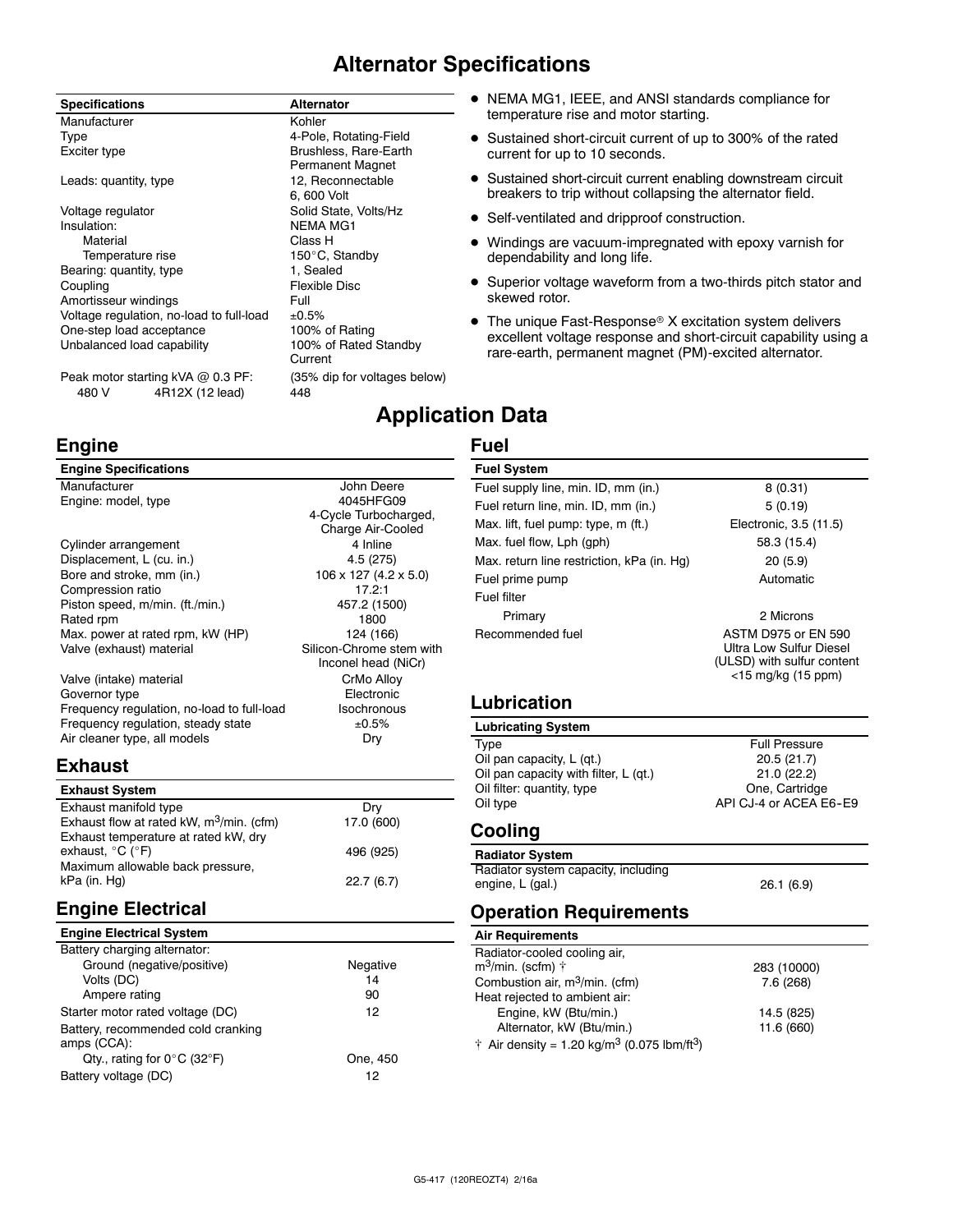# **Alternator Specifications**

| <b>Specifications</b>                    | <b>Alternator</b>                                       |
|------------------------------------------|---------------------------------------------------------|
| Manufacturer                             | Kohler                                                  |
| Type                                     | 4-Pole, Rotating-Field                                  |
| Exciter type                             | <b>Brushless, Rare-Earth</b><br><b>Permanent Magnet</b> |
| Leads: quantity, type                    | 12, Reconnectable                                       |
|                                          | 6,600 Volt                                              |
| Voltage regulator                        | Solid State, Volts/Hz                                   |
| Insulation:                              | <b>NEMA MG1</b>                                         |
| Material                                 | Class H                                                 |
| Temperature rise                         | 150°C, Standby                                          |
| Bearing: quantity, type                  | 1. Sealed                                               |
| Coupling                                 | Flexible Disc                                           |
| Amortisseur windings                     | Full                                                    |
| Voltage regulation, no-load to full-load | ±0.5%                                                   |
| One-step load acceptance                 | 100% of Rating                                          |
| Unbalanced load capability               | 100% of Rated Standby<br>Current                        |
|                                          |                                                         |

Peak motor starting kVA @ 0.3 PF: (35% dip for voltages below) 480 V 4R12X (12 lead) 448

## **Engine**

## **Engine Specifications**

| Manufacturer                               | John Deere               |
|--------------------------------------------|--------------------------|
| Engine: model, type                        | 4045HFG09                |
|                                            | 4-Cycle Turbocharged,    |
|                                            | Charge Air-Cooled        |
| Cylinder arrangement                       | 4 Inline                 |
| Displacement, L (cu. in.)                  | 4.5 (275)                |
| Bore and stroke, mm (in.)                  | 106 x 127 (4.2 x 5.0)    |
| Compression ratio                          | 17.2:1                   |
| Piston speed, m/min. (ft./min.)            | 457.2 (1500)             |
| Rated rpm                                  | 1800                     |
| Max. power at rated rpm, kW (HP)           | 124 (166)                |
| Valve (exhaust) material                   | Silicon-Chrome stem with |
|                                            | Inconel head (NiCr)      |
| Valve (intake) material                    | CrMo Alloy               |
| Governor type                              | Electronic               |
| Frequency regulation, no-load to full-load | Isochronous              |
| Frequency regulation, steady state         | ±0.5%                    |
| Air cleaner type, all models               | Dry                      |

## **Exhaust**

| <b>Exhaust System</b>                                |            |
|------------------------------------------------------|------------|
| Exhaust manifold type                                | Drv        |
| Exhaust flow at rated kW, m <sup>3</sup> /min. (cfm) | 17.0 (600) |
| Exhaust temperature at rated kW, dry                 |            |
| exhaust, $^{\circ}$ C ( $^{\circ}$ F)                | 496 (925)  |
| Maximum allowable back pressure,                     |            |
| kPa (in. Hg)                                         | 22.7(6.7)  |

# **Engine Electrical**

| <b>Engine Electrical System</b> |  |
|---------------------------------|--|
| Battery charging alternator:    |  |

| Ground (negative/positive)                        | Negative |
|---------------------------------------------------|----------|
| Volts (DC)                                        | 14       |
| Ampere rating                                     | 90       |
| Starter motor rated voltage (DC)                  | 12       |
| Battery, recommended cold cranking<br>amps (CCA): |          |
| Qty., rating for $0^{\circ}$ C (32 $^{\circ}$ F)  | One, 450 |
| Battery voltage (DC)                              | 12       |

- NEMA MG1, IEEE, and ANSI standards compliance for temperature rise and motor starting.
- Sustained short-circuit current of up to 300% of the rated current for up to 10 seconds.
- **•** Sustained short-circuit current enabling downstream circuit breakers to trip without collapsing the alternator field.
- Self-ventilated and dripproof construction.
- Windings are vacuum-impregnated with epoxy varnish for dependability and long life.
- Superior voltage waveform from a two-thirds pitch stator and skewed rotor.
- $\bullet$  The unique Fast-Response® X excitation system delivers excellent voltage response and short-circuit capability using a rare-earth, permanent magnet (PM)-excited alternator.

# **Application Data**

## **Fuel**

| <b>Fuel System</b>                         |                                                                                                              |
|--------------------------------------------|--------------------------------------------------------------------------------------------------------------|
| Fuel supply line, min. ID, mm (in.)        | 8(0.31)                                                                                                      |
| Fuel return line, min. ID, mm (in.)        | 5(0.19)                                                                                                      |
| Max. lift, fuel pump: type, m (ft.)        | Electronic, 3.5 (11.5)                                                                                       |
| Max. fuel flow, Lph (gph)                  | 58.3 (15.4)                                                                                                  |
| Max. return line restriction, kPa (in. Hg) | 20(5.9)                                                                                                      |
| Fuel prime pump                            | Automatic                                                                                                    |
| Fuel filter                                |                                                                                                              |
| Primary                                    | 2 Microns                                                                                                    |
| Recommended fuel                           | <b>ASTM D975 or EN 590</b><br>Ultra Low Sulfur Diesel<br>(ULSD) with sulfur content<br>$<$ 15 mg/kg (15 ppm) |

## **Lubrication**

## **Lubricating System**

| Type                                  | <b>Full Pressure</b>   |
|---------------------------------------|------------------------|
| Oil pan capacity, L (gt.)             | 20.5(21.7)             |
| Oil pan capacity with filter, L (qt.) | 21.0(22.2)             |
| Oil filter: quantity, type            | One, Cartridge         |
| Oil type                              | API CJ-4 or ACEA E6-E9 |
|                                       |                        |

## **Cooling**

| <b>Radiator System</b>              |           |
|-------------------------------------|-----------|
| Radiator system capacity, including |           |
| engine, L (gal.)                    | 26.1(6.9) |

# **Operation Requirements**

| <b>Air Requirements</b>                    |             |
|--------------------------------------------|-------------|
| Radiator-cooled cooling air,               |             |
| $m^3$ /min. (scfm) $\dagger$               | 283 (10000) |
| Combustion air, m <sup>3</sup> /min. (cfm) | 7.6(268)    |
| Heat rejected to ambient air:              |             |
| Engine, kW (Btu/min.)                      | 14.5 (825)  |
| Alternator, kW (Btu/min.)                  | 11.6 (660)  |
|                                            |             |

 $\dagger$  Air density = 1.20 kg/m<sup>3</sup> (0.075 lbm/ft<sup>3</sup>)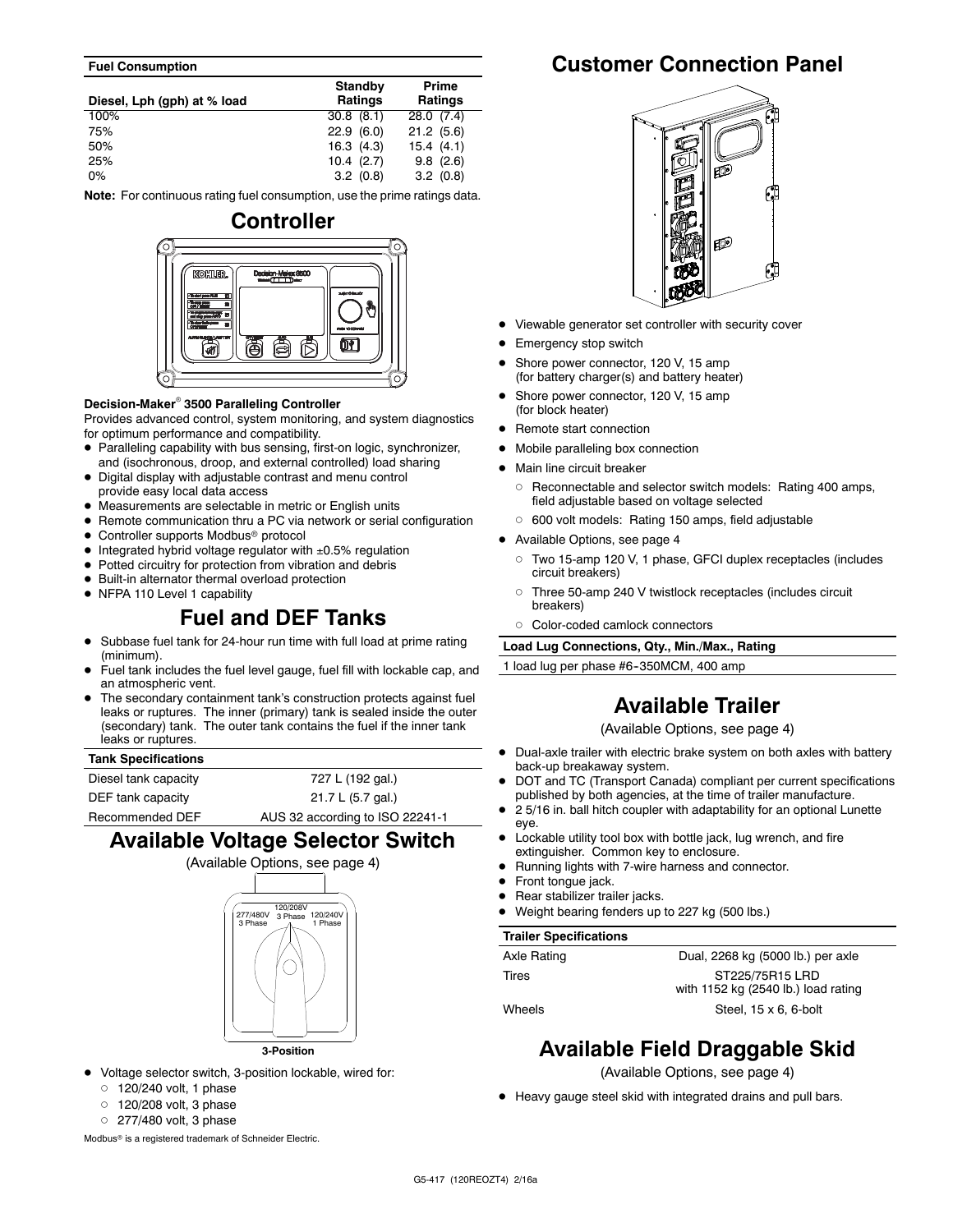#### **Fuel Consumption**

| Diesel, Lph (gph) at % load | <b>Standby</b><br>Ratings | Prime<br>Ratings |
|-----------------------------|---------------------------|------------------|
| 100%                        | 30.8(8.1)                 | 28.0(7.4)        |
| 75%                         | 22.9(6.0)                 | 21.2(5.6)        |
| 50%                         | 16.3(4.3)                 | 15.4(4.1)        |
| 25%                         | $10.4$ $(2.7)$            | 9.8(2.6)         |
| $0\%$                       | 3.2(0.8)                  | 3.2(0.8)         |

**Note:** For continuous rating fuel consumption, use the prime ratings data.

# **Controller KOUTLER OF**

## **Decision-Maker<sup>®</sup> 3500 Paralleling Controller**

Provides advanced control, system monitoring, and system diagnostics for optimum performance and compatibility.

- Paralleling capability with bus sensing, first-on logic, synchronizer, and (isochronous, droop, and external controlled) load sharing
- Digital display with adjustable contrast and menu control provide easy local data access
- Measurements are selectable in metric or English units
- Remote communication thru a PC via network or serial configuration
- Controller supports Modbus<sup>®</sup> protocol
- Integrated hybrid voltage regulator with  $\pm 0.5\%$  regulation
- $\bullet$  Potted circuitry for protection from vibration and debris
- $\bullet$  Built-in alternator thermal overload protection
- NFPA 110 Level 1 capability

# **Fuel and DEF Tanks**

- Subbase fuel tank for 24-hour run time with full load at prime rating (minimum).
- Fuel tank includes the fuel level gauge, fuel fill with lockable cap, and an atmospheric vent.
- The secondary containment tank's construction protects against fuel leaks or ruptures. The inner (primary) tank is sealed inside the outer (secondary) tank. The outer tank contains the fuel if the inner tank leaks or ruptures.

#### **Tank Specifications**

| Diesel tank capacity | 727 L (192 gal.)                |
|----------------------|---------------------------------|
| DEF tank capacity    | 21.7 L (5.7 gal.)               |
| Recommended DEF      | AUS 32 according to ISO 22241-1 |

# **Available Voltage Selector Switch**



- Voltage selector switch, 3-position lockable, wired for:
	- $0$  120/240 volt, 1 phase
	- $\circ$  120/208 volt, 3 phase
	- $0$  277/480 volt, 3 phase

Modbus<sup>®</sup> is a registered trademark of Schneider Electric.

# **Customer Connection Panel**



- Viewable generator set controller with security cover
- Emergency stop switch
- Shore power connector, 120 V, 15 amp (for battery charger(s) and battery heater)
- Shore power connector, 120 V, 15 amp (for block heater)
- Remote start connection
- Mobile paralleling box connection
- Main line circuit breaker
- o Reconnectable and selector switch models: Rating 400 amps, field adjustable based on voltage selected
- o 600 volt models: Rating 150 amps, field adjustable
- $\bullet$  Available Options, see page 4
	- d Two 15-amp 120 V, 1 phase, GFCI duplex receptacles (includes circuit breakers)
	- o Three 50-amp 240 V twistlock receptacles (includes circuit breakers)
	- o Color-coded camlock connectors

**Load Lug Connections, Qty., Min./Max., Rating**

1 load lug per phase #6-350MCM, 400 amp

# **Available Trailer**

(Available Options, see page 4)

- Dual-axle trailer with electric brake system on both axles with battery back-up breakaway system.
- DOT and TC (Transport Canada) compliant per current specifications published by both agencies, at the time of trailer manufacture.
- 2 5/16 in. ball hitch coupler with adaptability for an optional Lunette eye.
- Lockable utility tool box with bottle jack, lug wrench, and fire extinguisher. Common key to enclosure.
- Running lights with 7-wire harness and connector.
- Front tongue jack.
- Rear stabilizer trailer jacks.
- Weight bearing fenders up to 227 kg (500 lbs.)

#### **Trailer Specifications**

| Axle Rating | Dual, 2268 kg (5000 lb.) per axle   |  |
|-------------|-------------------------------------|--|
| Tires       | ST225/75R15 LRD                     |  |
|             | with 1152 kg (2540 lb.) load rating |  |
| Wheels      | Steel, $15 \times 6$ , 6-bolt       |  |

# **Available Field Draggable Skid**

(Available Options, see page 4)

• Heavy gauge steel skid with integrated drains and pull bars.